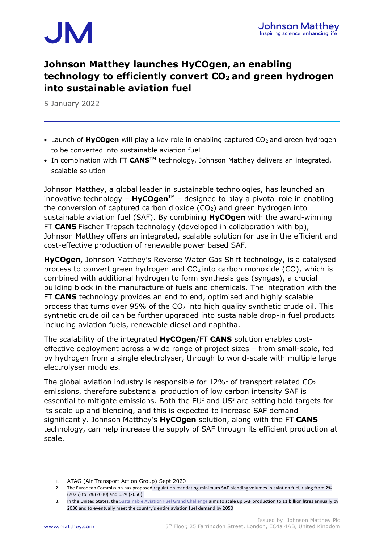

## **Johnson Matthey launches HyCOgen, an enabling technology to efficiently convert CO<sup>2</sup> and green hydrogen into sustainable aviation fuel**

5 January 2022

- Launch of HyCOgen will play a key role in enabling captured CO<sub>2</sub> and green hydrogen to be converted into sustainable aviation fuel
- In combination with FT **CANSTM** technology, Johnson Matthey delivers an integrated, scalable solution

Johnson Matthey, a global leader in sustainable technologies, has launched an innovative technology  $-$  **HyCOgen**<sup> $M$ </sup> – designed to play a pivotal role in enabling the conversion of captured carbon dioxide  $(CO<sub>2</sub>)$  and green hydrogen into sustainable aviation fuel (SAF). By combining **HyCOgen** with the award-winning FT **CANS** Fischer Tropsch technology (developed in collaboration with bp), Johnson Matthey offers an integrated, scalable solution for use in the efficient and cost-effective production of renewable power based SAF.

**HyCOgen,** Johnson Matthey's Reverse Water Gas Shift technology, is a catalysed process to convert green hydrogen and  $CO<sub>2</sub>$  into carbon monoxide (CO), which is combined with additional hydrogen to form synthesis gas (syngas), a crucial building block in the manufacture of fuels and chemicals. The integration with the FT **CANS** technology provides an end to end, optimised and highly scalable process that turns over 95% of the  $CO<sub>2</sub>$  into high quality synthetic crude oil. This synthetic crude oil can be further upgraded into sustainable drop-in fuel products including aviation fuels, renewable diesel and naphtha.

The scalability of the integrated **HyCOgen**/FT **CANS** solution enables costeffective deployment across a wide range of project sizes – from small-scale, fed by hydrogen from a single electrolyser, through to world-scale with multiple large electrolyser modules.

The global aviation industry is responsible for  $12\%$ <sup>1</sup> of transport related CO<sub>2</sub> emissions, therefore substantial production of low carbon intensity SAF is essential to mitigate emissions. Both the  $EU^2$  and  $US^3$  are setting bold targets for its scale up and blending, and this is expected to increase SAF demand significantly. Johnson Matthey's **HyCOgen** solution, along with the FT **CANS** technology, can help increase the supply of SAF through its efficient production at scale.

1. ATAG (Air Transport Action Group) Sept 2020

<sup>2.</sup> The European Commission has proposed regulation mandating minimum SAF blending volumes in aviation fuel, rising from 2% (2025) to 5% (2030) and 63% (2050).

<sup>3.</sup> In the United States, the [Sustainable Aviation Fuel Grand Challenge](http://energy.gov/sites/default/files/2021-09/S1-Signed-SAF-MOU-9-08-21.pdf) aims to scale up SAF production to 11 billion litres annually by 2030 and to eventually meet the country's entire aviation fuel demand by 2050